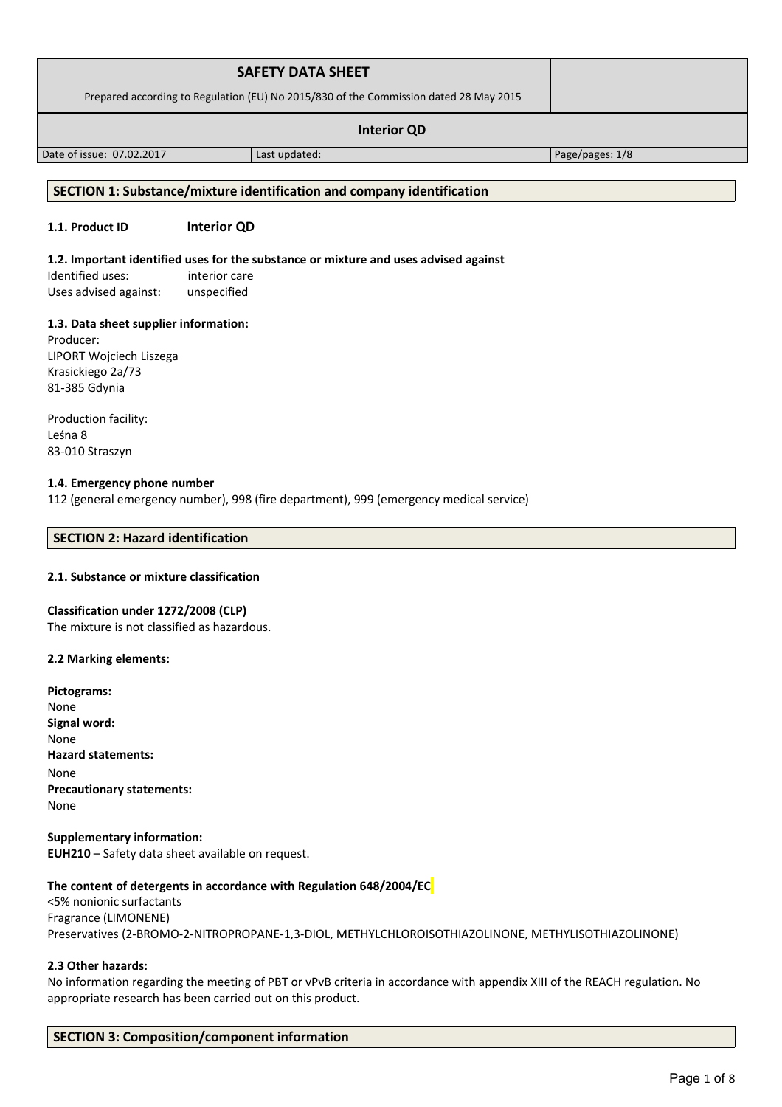| <b>SAFETY DATA SHEET</b>                                                              |               |                 |
|---------------------------------------------------------------------------------------|---------------|-----------------|
| Prepared according to Regulation (EU) No 2015/830 of the Commission dated 28 May 2015 |               |                 |
| <b>Interior QD</b>                                                                    |               |                 |
| Date of issue: 07.02.2017                                                             | Last updated: | Page/pages: 1/8 |

## **SECTION 1: Substance/mixture identification and company identification**

# **1.1. Product ID Interior QD**

#### **1.2. Important identified uses for the substance or mixture and uses advised against**

Identified uses: interior care Uses advised against: unspecified

# **1.3. Data sheet supplier information:**

Producer: LIPORT Wojciech Liszega Krasickiego 2a/73 81-385 Gdynia

Production facility: Leśna 8 83-010 Straszyn

# **1.4. Emergency phone number**

112 (general emergency number), 998 (fire department), 999 (emergency medical service)

# **SECTION 2: Hazard identification**

#### **2.1. Substance or mixture classification**

### **Classification under 1272/2008 (CLP)**

The mixture is not classified as hazardous.

#### **2.2 Marking elements:**

| None<br>Signal word:<br>None     |
|----------------------------------|
|                                  |
|                                  |
|                                  |
| <b>Hazard statements:</b>        |
| None                             |
| <b>Precautionary statements:</b> |
| None                             |

**Supplementary information: EUH210** – Safety data sheet available on request.

# **The content of detergents in accordance with Regulation 648/2004/EC**

<5% nonionic surfactants Fragrance (LIMONENE) Preservatives (2-BROMO-2-NITROPROPANE-1,3-DIOL, METHYLCHLOROISOTHIAZOLINONE, METHYLISOTHIAZOLINONE)

# **2.3 Other hazards:**

No information regarding the meeting of PBT or vPvB criteria in accordance with appendix XIII of the REACH regulation. No appropriate research has been carried out on this product.

# **SECTION 3: Composition/component information**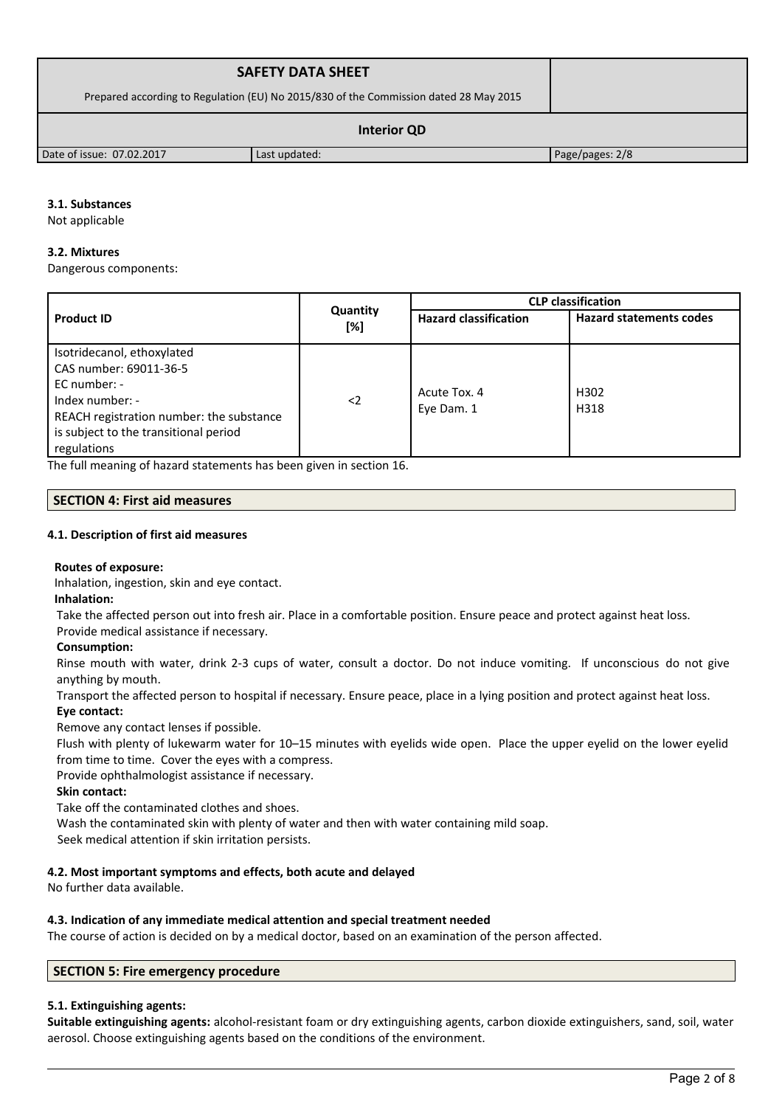| <b>SAFETY DATA SHEET</b>                                                              |               |                 |
|---------------------------------------------------------------------------------------|---------------|-----------------|
| Prepared according to Regulation (EU) No 2015/830 of the Commission dated 28 May 2015 |               |                 |
| <b>Interior QD</b>                                                                    |               |                 |
| Date of issue: 07.02.2017                                                             | Last updated: | Page/pages: 2/8 |

# **3.1. Substances**

Not applicable

# **3.2. Mixtures**

Dangerous components:

|                                                                                                                                                                                               |                 | <b>CLP</b> classification    |                                |  |
|-----------------------------------------------------------------------------------------------------------------------------------------------------------------------------------------------|-----------------|------------------------------|--------------------------------|--|
| <b>Product ID</b>                                                                                                                                                                             | Quantity<br>[%] | <b>Hazard classification</b> | <b>Hazard statements codes</b> |  |
| Isotridecanol, ethoxylated<br>CAS number: 69011-36-5<br>$EC$ number: -<br>Index number: -<br>REACH registration number: the substance<br>is subject to the transitional period<br>regulations | $\langle$ 2     | Acute Tox. 4<br>Eye Dam. 1   | H302<br>H318                   |  |

The full meaning of hazard statements has been given in section 16.

# **SECTION 4: First aid measures**

# **4.1. Description of first aid measures**

# **Routes of exposure:**

Inhalation, ingestion, skin and eye contact.

**Inhalation:**

Take the affected person out into fresh air. Place in a comfortable position. Ensure peace and protect against heat loss.

# Provide medical assistance if necessary.

# **Consumption:**

Rinse mouth with water, drink 2-3 cups of water, consult a doctor. Do not induce vomiting. If unconscious do not give anything by mouth.

Transport the affected person to hospital if necessary. Ensure peace, place in a lying position and protect against heat loss. **Eye contact:**

Remove any contact lenses if possible.

Flush with plenty of lukewarm water for 10–15 minutes with eyelids wide open. Place the upper eyelid on the lower eyelid from time to time. Cover the eyes with a compress.

Provide ophthalmologist assistance if necessary.

# **Skin contact:**

Take off the contaminated clothes and shoes.

Wash the contaminated skin with plenty of water and then with water containing mild soap.

Seek medical attention if skin irritation persists.

# **4.2. Most important symptoms and effects, both acute and delayed**

No further data available.

# **4.3. Indication of any immediate medical attention and special treatment needed**

The course of action is decided on by a medical doctor, based on an examination of the person affected.

# **SECTION 5: Fire emergency procedure**

# **5.1. Extinguishing agents:**

**Suitable extinguishing agents:** alcohol-resistant foam or dry extinguishing agents, carbon dioxide extinguishers, sand, soil, water aerosol. Choose extinguishing agents based on the conditions of the environment.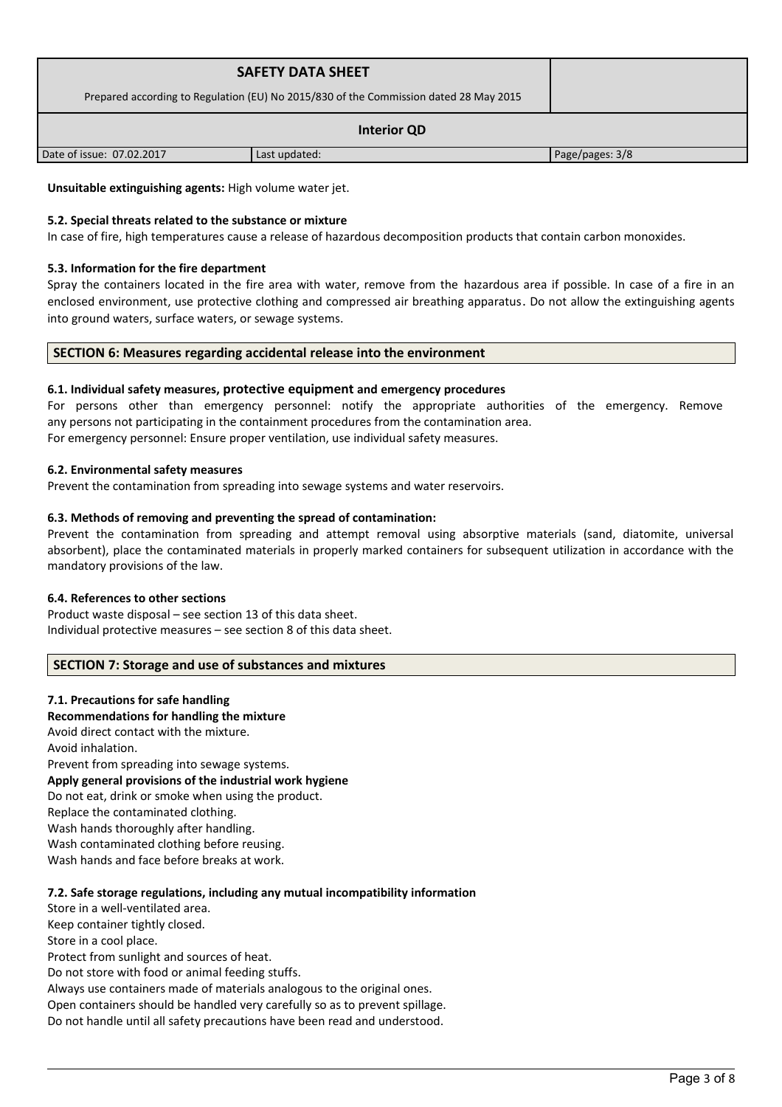| <b>SAFETY DATA SHEET</b><br>Prepared according to Regulation (EU) No 2015/830 of the Commission dated 28 May 2015 |               |                 |  |
|-------------------------------------------------------------------------------------------------------------------|---------------|-----------------|--|
| <b>Interior QD</b>                                                                                                |               |                 |  |
| Date of issue: 07.02.2017                                                                                         | Last updated: | Page/pages: 3/8 |  |

**Unsuitable extinguishing agents:** High volume water jet.

# **5.2. Special threats related to the substance or mixture**

In case of fire, high temperatures cause a release of hazardous decomposition products that contain carbon monoxides.

## **5.3. Information for the fire department**

Spray the containers located in the fire area with water, remove from the hazardous area if possible. In case of a fire in an enclosed environment, use protective clothing and compressed air breathing apparatus. Do not allow the extinguishing agents into ground waters, surface waters, or sewage systems.

# **SECTION 6: Measures regarding accidental release into the environment**

# **6.1. Individual safety measures, protective equipment and emergency procedures**

For persons other than emergency personnel: notify the appropriate authorities of the emergency. Remove any persons not participating in the containment procedures from the contamination area. For emergency personnel: Ensure proper ventilation, use individual safety measures.

# **6.2. Environmental safety measures**

Prevent the contamination from spreading into sewage systems and water reservoirs.

# **6.3. Methods of removing and preventing the spread of contamination:**

Prevent the contamination from spreading and attempt removal using absorptive materials (sand, diatomite, universal absorbent), place the contaminated materials in properly marked containers for subsequent utilization in accordance with the mandatory provisions of the law.

# **6.4. References to other sections**

Product waste disposal – see section 13 of this data sheet. Individual protective measures – see section 8 of this data sheet.

# **SECTION 7: Storage and use of substances and mixtures**

# **7.1. Precautions for safe handling**

# **Recommendations for handling the mixture**

Avoid direct contact with the mixture.

Avoid inhalation.

Prevent from spreading into sewage systems. **Apply general provisions of the industrial work hygiene**  Do not eat, drink or smoke when using the product. Replace the contaminated clothing. Wash hands thoroughly after handling. Wash contaminated clothing before reusing. Wash hands and face before breaks at work.

# **7.2. Safe storage regulations, including any mutual incompatibility information**

Store in a well-ventilated area. Keep container tightly closed. Store in a cool place.

Protect from sunlight and sources of heat. Do not store with food or animal feeding stuffs.

Always use containers made of materials analogous to the original ones.

Open containers should be handled very carefully so as to prevent spillage.

Do not handle until all safety precautions have been read and understood.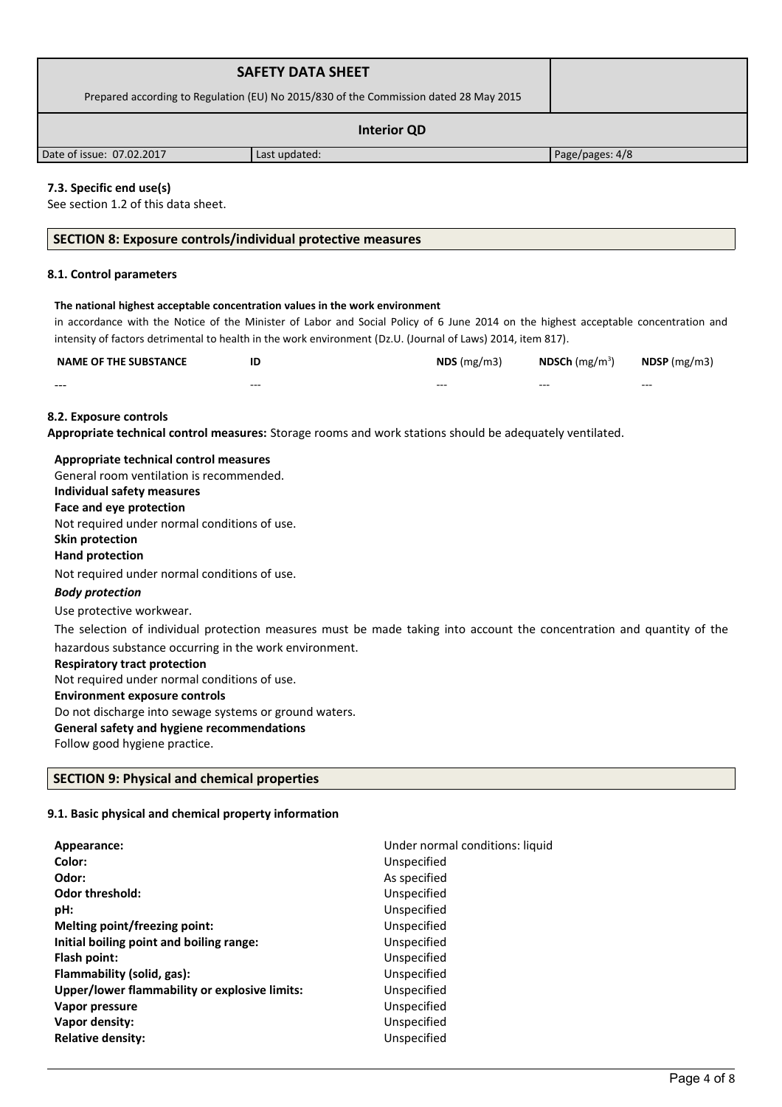| <b>SAFETY DATA SHEET</b>                                                              |               |                 |
|---------------------------------------------------------------------------------------|---------------|-----------------|
| Prepared according to Regulation (EU) No 2015/830 of the Commission dated 28 May 2015 |               |                 |
| <b>Interior QD</b>                                                                    |               |                 |
| Date of issue: 07.02.2017                                                             | Last updated: | Page/pages: 4/8 |

# **7.3. Specific end use(s)**

See section 1.2 of this data sheet.

# **SECTION 8: Exposure controls/individual protective measures**

# **8.1. Control parameters**

#### **The national highest acceptable concentration values in the work environment**

in accordance with the Notice of the Minister of Labor and Social Policy of 6 June 2014 on the highest acceptable concentration and intensity of factors detrimental to health in the work environment (Dz.U. (Journal of Laws) 2014, item 817).

| <b>NAME OF THE SUBSTANCE</b> |         | NDS(mg/m3) | <b>NDSCh</b> (mg/m <sup>3</sup> ) | $N$ DSP (mg/m3) |
|------------------------------|---------|------------|-----------------------------------|-----------------|
| $- - -$                      | $- - -$ | $- - -$    | $- - -$                           | $- - -$         |

### **8.2. Exposure controls**

**Appropriate technical control measures:** Storage rooms and work stations should be adequately ventilated.

| Appropriate technical control measures                                                                                 |
|------------------------------------------------------------------------------------------------------------------------|
| General room ventilation is recommended.                                                                               |
| Individual safety measures                                                                                             |
| Face and eye protection                                                                                                |
| Not required under normal conditions of use.                                                                           |
| Skin protection                                                                                                        |
| <b>Hand protection</b>                                                                                                 |
| Not required under normal conditions of use.                                                                           |
| <b>Body protection</b>                                                                                                 |
| Use protective workwear.                                                                                               |
| The selection of individual protection measures must be made taking into account the concentration and quantity of the |
| hazardous substance occurring in the work environment.                                                                 |
| <b>Respiratory tract protection</b>                                                                                    |
| Not required under normal conditions of use.                                                                           |
| <b>Environment exposure controls</b>                                                                                   |
| Do not discharge into sewage systems or ground waters.                                                                 |
| General safety and hygiene recommendations                                                                             |

Follow good hygiene practice.

# **SECTION 9: Physical and chemical properties**

# **9.1. Basic physical and chemical property information**

| Appearance:<br>Color:                         | Under normal conditions: liquid<br>Unspecified |
|-----------------------------------------------|------------------------------------------------|
| Odor:                                         | As specified                                   |
| <b>Odor threshold:</b>                        | Unspecified                                    |
| pH:                                           | Unspecified                                    |
| Melting point/freezing point:                 | Unspecified                                    |
| Initial boiling point and boiling range:      | Unspecified                                    |
| Flash point:                                  | Unspecified                                    |
| Flammability (solid, gas):                    | Unspecified                                    |
| Upper/lower flammability or explosive limits: | Unspecified                                    |
| Vapor pressure                                | Unspecified                                    |
| Vapor density:                                | Unspecified                                    |
| <b>Relative density:</b>                      | Unspecified                                    |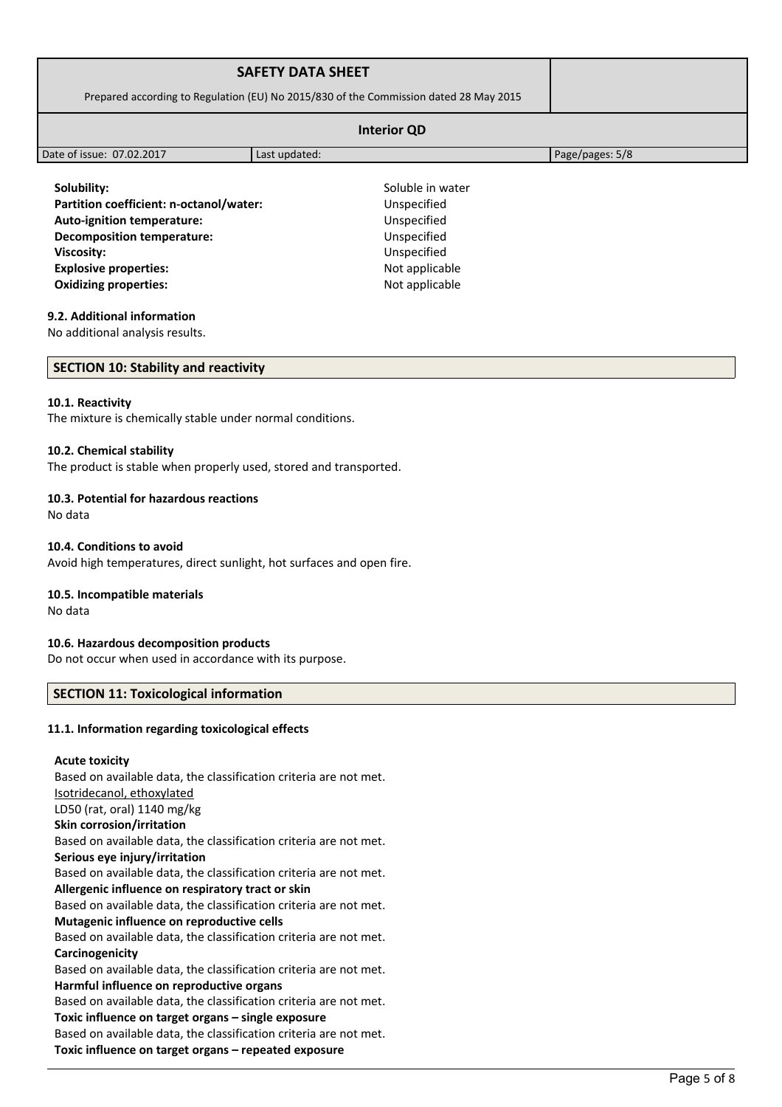| <b>SAFETY DATA SHEET</b>                                                              |                                 |                 |
|---------------------------------------------------------------------------------------|---------------------------------|-----------------|
| Prepared according to Regulation (EU) No 2015/830 of the Commission dated 28 May 2015 |                                 |                 |
|                                                                                       |                                 |                 |
| Date of issue: 07.02.2017                                                             | Last updated:                   | Page/pages: 5/8 |
| Solubility:<br>Partition coefficient: n-octanol/water:                                | Soluble in water<br>Unspecified |                 |

**Auto-ignition temperature:** Unspecified **Decomposition temperature:** Unspecified **Viscosity:** Unspecified **Explosive properties:**  $\qquad \qquad \qquad$  Not applicable **Oxidizing properties:** Not applicable

# **9.2. Additional information**

No additional analysis results.

**SECTION 10: Stability and reactivity**

#### **10.1. Reactivity**

The mixture is chemically stable under normal conditions.

### **10.2. Chemical stability**

The product is stable when properly used, stored and transported.

# **10.3. Potential for hazardous reactions**

No data

### **10.4. Conditions to avoid**

Avoid high temperatures, direct sunlight, hot surfaces and open fire.

### **10.5. Incompatible materials**

No data

# **10.6. Hazardous decomposition products**

Do not occur when used in accordance with its purpose.

# **SECTION 11: Toxicological information**

# **11.1. Information regarding toxicological effects**

# **Acute toxicity**

Based on available data, the classification criteria are not met. Isotridecanol, ethoxylated LD50 (rat, oral) 1140 mg/kg **Skin corrosion/irritation** Based on available data, the classification criteria are not met. **Serious eye injury/irritation** Based on available data, the classification criteria are not met. **Allergenic influence on respiratory tract or skin** Based on available data, the classification criteria are not met. **Mutagenic influence on reproductive cells** Based on available data, the classification criteria are not met. **Carcinogenicity** Based on available data, the classification criteria are not met. **Harmful influence on reproductive organs** Based on available data, the classification criteria are not met. **Toxic influence on target organs – single exposure** Based on available data, the classification criteria are not met. **Toxic influence on target organs – repeated exposure**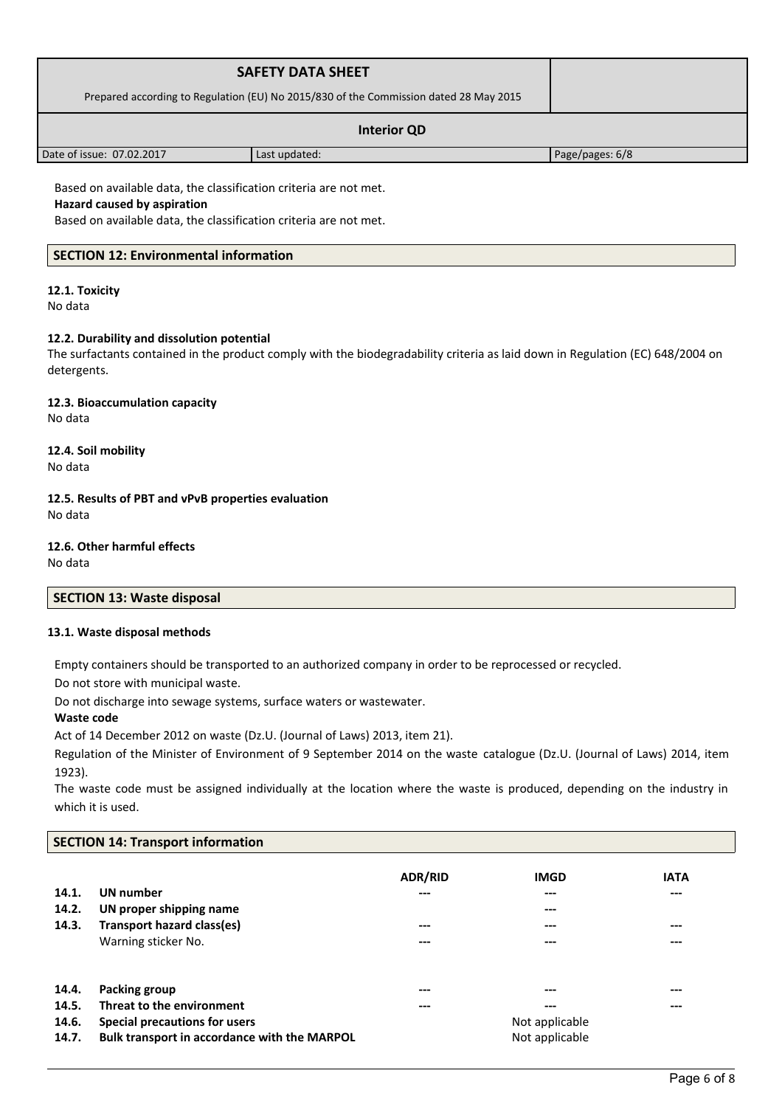| <b>SAFETY DATA SHEET</b>                                                              |               |                 |
|---------------------------------------------------------------------------------------|---------------|-----------------|
| Prepared according to Regulation (EU) No 2015/830 of the Commission dated 28 May 2015 |               |                 |
| <b>Interior QD</b>                                                                    |               |                 |
| Date of issue: 07.02.2017                                                             | Last updated: | Page/pages: 6/8 |

Based on available data, the classification criteria are not met.

# **Hazard caused by aspiration**

Based on available data, the classification criteria are not met.

# **SECTION 12: Environmental information**

# **12.1. Toxicity**

No data

# **12.2. Durability and dissolution potential**

The surfactants contained in the product comply with the biodegradability criteria as laid down in Regulation (EC) 648/2004 on detergents.

#### **12.3. Bioaccumulation capacity** No data

# **12.4. Soil mobility**

No data

## **12.5. Results of PBT and vPvB properties evaluation** No data

**12.6. Other harmful effects**

No data

# **SECTION 13: Waste disposal**

# **13.1. Waste disposal methods**

Empty containers should be transported to an authorized company in order to be reprocessed or recycled.

Do not store with municipal waste.

Do not discharge into sewage systems, surface waters or wastewater.

# **Waste code**

Act of 14 December 2012 on waste (Dz.U. (Journal of Laws) 2013, item 21).

Regulation of the Minister of Environment of 9 September 2014 on the waste catalogue (Dz.U. (Journal of Laws) 2014, item 1923).

The waste code must be assigned individually at the location where the waste is produced, depending on the industry in which it is used.

# **SECTION 14: Transport information**

| 14.1.<br>14.2.<br>14.3. | UN number<br>UN proper shipping name<br><b>Transport hazard class(es)</b><br>Warning sticker No. | <b>ADR/RID</b><br>---<br>---<br>--- | <b>IMGD</b><br>$---$<br>$---$<br>$-- -$<br>--- | <b>IATA</b><br>$---$<br>$---$<br>--- |
|-------------------------|--------------------------------------------------------------------------------------------------|-------------------------------------|------------------------------------------------|--------------------------------------|
| 14.4.                   | Packing group                                                                                    | ---                                 | ---                                            | ---                                  |
| 14.5.                   | Threat to the environment                                                                        | ---                                 | $---$                                          | ---                                  |
| 14.6.                   | Special precautions for users                                                                    |                                     | Not applicable                                 |                                      |
| 14.7.                   | Bulk transport in accordance with the MARPOL                                                     |                                     | Not applicable                                 |                                      |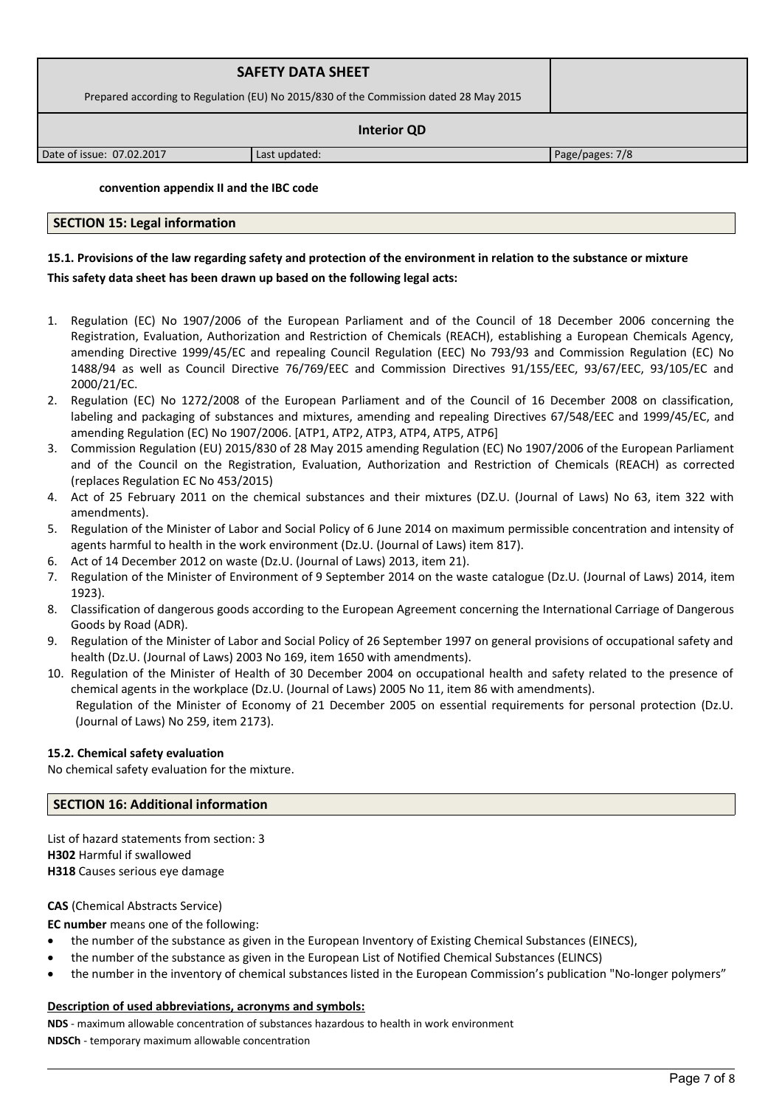| <b>SAFETY DATA SHEET</b>                                                              |               |                 |  |
|---------------------------------------------------------------------------------------|---------------|-----------------|--|
| Prepared according to Regulation (EU) No 2015/830 of the Commission dated 28 May 2015 |               |                 |  |
| <b>Interior QD</b>                                                                    |               |                 |  |
| Date of issue: 07.02.2017                                                             | Last updated: | Page/pages: 7/8 |  |

**convention appendix II and the IBC code** 

# **SECTION 15: Legal information**

# **15.1. Provisions of the law regarding safety and protection of the environment in relation to the substance or mixture This safety data sheet has been drawn up based on the following legal acts:**

- 1. Regulation (EC) No 1907/2006 of the European Parliament and of the Council of 18 December 2006 concerning the Registration, Evaluation, Authorization and Restriction of Chemicals (REACH), establishing a European Chemicals Agency, amending Directive 1999/45/EC and repealing Council Regulation (EEC) No 793/93 and Commission Regulation (EC) No 1488/94 as well as Council Directive 76/769/EEC and Commission Directives 91/155/EEC, 93/67/EEC, 93/105/EC and 2000/21/EC.
- 2. Regulation (EC) No 1272/2008 of the European Parliament and of the Council of 16 December 2008 on classification, labeling and packaging of substances and mixtures, amending and repealing Directives 67/548/EEC and 1999/45/EC, and amending Regulation (EC) No 1907/2006. [ATP1, ATP2, ATP3, ATP4, ATP5, ATP6]
- 3. Commission Regulation (EU) 2015/830 of 28 May 2015 amending Regulation (EC) No 1907/2006 of the European Parliament and of the Council on the Registration, Evaluation, Authorization and Restriction of Chemicals (REACH) as corrected (replaces Regulation EC No 453/2015)
- 4. Act of 25 February 2011 on the chemical substances and their mixtures (DZ.U. (Journal of Laws) No 63, item 322 with amendments).
- 5. Regulation of the Minister of Labor and Social Policy of 6 June 2014 on maximum permissible concentration and intensity of agents harmful to health in the work environment (Dz.U. (Journal of Laws) item 817).
- 6. Act of 14 December 2012 on waste (Dz.U. (Journal of Laws) 2013, item 21).
- 7. Regulation of the Minister of Environment of 9 September 2014 on the waste catalogue (Dz.U. (Journal of Laws) 2014, item 1923).
- 8. Classification of dangerous goods according to the European Agreement concerning the International Carriage of Dangerous Goods by Road (ADR).
- 9. Regulation of the Minister of Labor and Social Policy of 26 September 1997 on general provisions of occupational safety and health (Dz.U. (Journal of Laws) 2003 No 169, item 1650 with amendments).
- 10. Regulation of the Minister of Health of 30 December 2004 on occupational health and safety related to the presence of chemical agents in the workplace (Dz.U. (Journal of Laws) 2005 No 11, item 86 with amendments). Regulation of the Minister of Economy of 21 December 2005 on essential requirements for personal protection (Dz.U. (Journal of Laws) No 259, item 2173).

#### **15.2. Chemical safety evaluation**

No chemical safety evaluation for the mixture.

#### **SECTION 16: Additional information**

List of hazard statements from section: 3 **H302** Harmful if swallowed **H318** Causes serious eye damage

#### **CAS** (Chemical Abstracts Service)

**EC number** means one of the following:

- the number of the substance as given in the European Inventory of Existing Chemical Substances (EINECS),
- the number of the substance as given in the European List of Notified Chemical Substances (ELINCS)
- the number in the inventory of chemical substances listed in the European Commission's publication "No-longer polymers"

#### **Description of used abbreviations, acronyms and symbols:**

**NDS** - maximum allowable concentration of substances hazardous to health in work environment **NDSCh** - temporary maximum allowable concentration